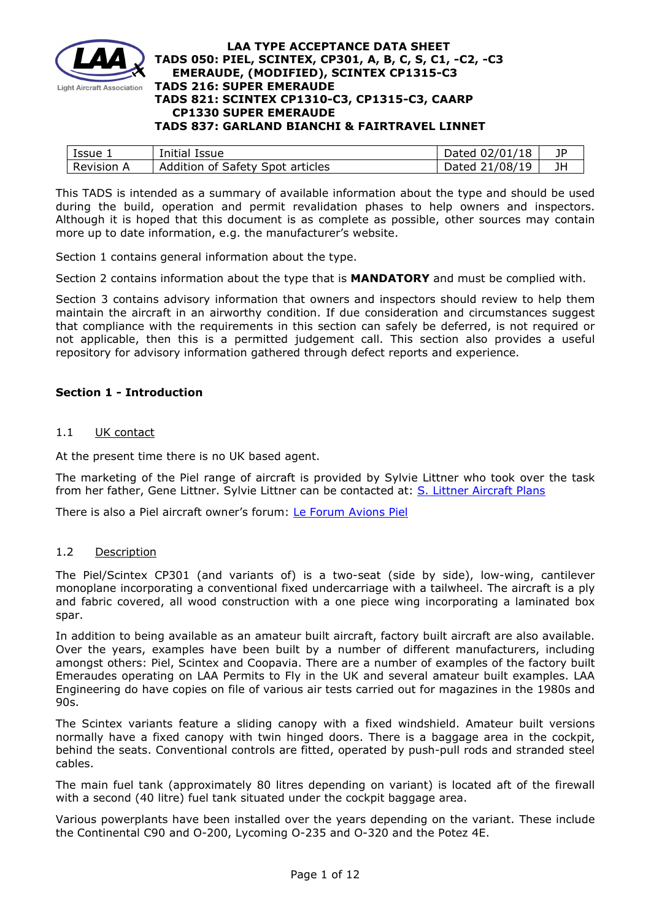

| Issue             | Initial Issue                    | Dated 02/01/18 |  |
|-------------------|----------------------------------|----------------|--|
| <b>Revision A</b> | Addition of Safety Spot articles | Dated 21/08/19 |  |

This TADS is intended as a summary of available information about the type and should be used during the build, operation and permit revalidation phases to help owners and inspectors. Although it is hoped that this document is as complete as possible, other sources may contain more up to date information, e.g. the manufacturer's website.

Section 1 contains general information about the type.

Section 2 contains information about the type that is **MANDATORY** and must be complied with.

Section 3 contains advisory information that owners and inspectors should review to help them maintain the aircraft in an airworthy condition. If due consideration and circumstances suggest that compliance with the requirements in this section can safely be deferred, is not required or not applicable, then this is a permitted judgement call. This section also provides a useful repository for advisory information gathered through defect reports and experience.

## **Section 1 - Introduction**

#### 1.1 UK contact

At the present time there is no UK based agent.

The marketing of the Piel range of aircraft is provided by Sylvie Littner who took over the task from her father, Gene Littner. Sylvie Littner can be contacted at: [S. Littner Aircraft Plans](http://www.slittneraircraftplans.com/)

There is also a Piel aircraft owner's forum: [Le Forum Avions Piel](http://www.avions-piel.com/)

## 1.2 Description

The Piel/Scintex CP301 (and variants of) is a two-seat (side by side), low-wing, cantilever monoplane incorporating a conventional fixed undercarriage with a tailwheel. The aircraft is a ply and fabric covered, all wood construction with a one piece wing incorporating a laminated box spar.

In addition to being available as an amateur built aircraft, factory built aircraft are also available. Over the years, examples have been built by a number of different manufacturers, including amongst others: Piel, Scintex and Coopavia. There are a number of examples of the factory built Emeraudes operating on LAA Permits to Fly in the UK and several amateur built examples. LAA Engineering do have copies on file of various air tests carried out for magazines in the 1980s and 90s.

The Scintex variants feature a sliding canopy with a fixed windshield. Amateur built versions normally have a fixed canopy with twin hinged doors. There is a baggage area in the cockpit, behind the seats. Conventional controls are fitted, operated by push-pull rods and stranded steel cables.

The main fuel tank (approximately 80 litres depending on variant) is located aft of the firewall with a second (40 litre) fuel tank situated under the cockpit baggage area.

Various powerplants have been installed over the years depending on the variant. These include the Continental C90 and O-200, Lycoming O-235 and O-320 and the Potez 4E.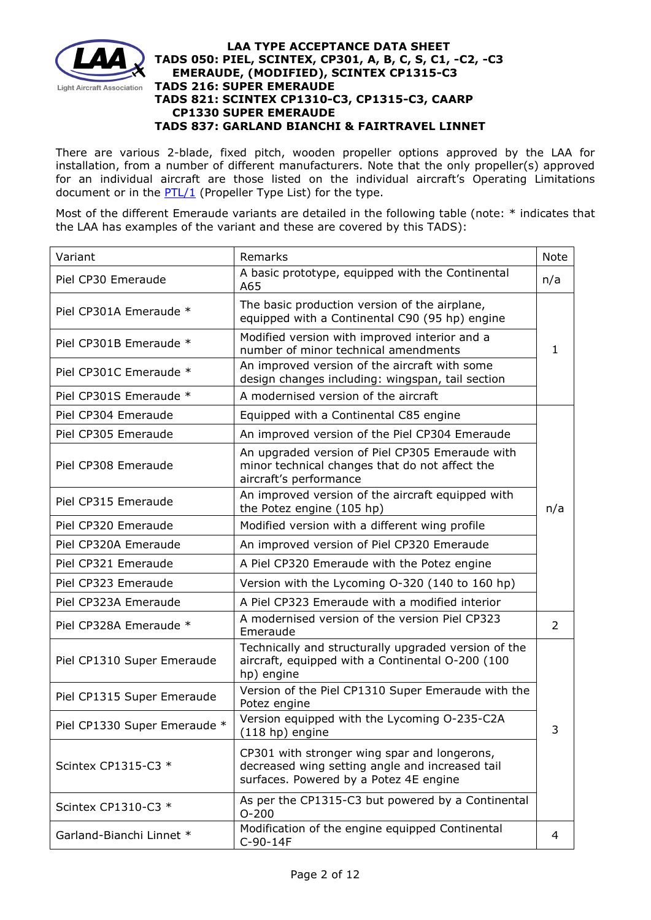

There are various 2-blade, fixed pitch, wooden propeller options approved by the LAA for installation, from a number of different manufacturers. Note that the only propeller(s) approved for an individual aircraft are those listed on the individual aircraft's Operating Limitations document or in the  $PTL/1$  (Propeller Type List) for the type.

Most of the different Emeraude variants are detailed in the following table (note: \* indicates that the LAA has examples of the variant and these are covered by this TADS):

| Variant                      | Remarks                                                                                                                                   | <b>Note</b>    |
|------------------------------|-------------------------------------------------------------------------------------------------------------------------------------------|----------------|
| Piel CP30 Emeraude           | A basic prototype, equipped with the Continental<br>A65                                                                                   | n/a            |
| Piel CP301A Emeraude *       | The basic production version of the airplane,<br>equipped with a Continental C90 (95 hp) engine                                           |                |
| Piel CP301B Emeraude *       | Modified version with improved interior and a<br>number of minor technical amendments                                                     | 1              |
| Piel CP301C Emeraude *       | An improved version of the aircraft with some<br>design changes including: wingspan, tail section                                         |                |
| Piel CP301S Emeraude *       | A modernised version of the aircraft                                                                                                      |                |
| Piel CP304 Emeraude          | Equipped with a Continental C85 engine                                                                                                    |                |
| Piel CP305 Emeraude          | An improved version of the Piel CP304 Emeraude                                                                                            |                |
| Piel CP308 Emeraude          | An upgraded version of Piel CP305 Emeraude with<br>minor technical changes that do not affect the<br>aircraft's performance               |                |
| Piel CP315 Emeraude          | An improved version of the aircraft equipped with<br>the Potez engine (105 hp)                                                            | n/a            |
| Piel CP320 Emeraude          | Modified version with a different wing profile                                                                                            |                |
| Piel CP320A Emeraude         | An improved version of Piel CP320 Emeraude                                                                                                |                |
| Piel CP321 Emeraude          | A Piel CP320 Emeraude with the Potez engine                                                                                               |                |
| Piel CP323 Emeraude          | Version with the Lycoming O-320 (140 to 160 hp)                                                                                           |                |
| Piel CP323A Emeraude         | A Piel CP323 Emeraude with a modified interior                                                                                            |                |
| Piel CP328A Emeraude *       | A modernised version of the version Piel CP323<br>Emeraude                                                                                | $\overline{2}$ |
| Piel CP1310 Super Emeraude   | Technically and structurally upgraded version of the<br>aircraft, equipped with a Continental O-200 (100<br>hp) engine                    |                |
| Piel CP1315 Super Emeraude   | Version of the Piel CP1310 Super Emeraude with the<br>Potez engine                                                                        |                |
| Piel CP1330 Super Emeraude * | Version equipped with the Lycoming O-235-C2A<br>$(118hp)$ engine                                                                          | 3              |
| Scintex CP1315-C3 *          | CP301 with stronger wing spar and longerons,<br>decreased wing setting angle and increased tail<br>surfaces. Powered by a Potez 4E engine |                |
| Scintex CP1310-C3 *          | As per the CP1315-C3 but powered by a Continental<br>$O - 200$                                                                            |                |
| Garland-Bianchi Linnet *     | Modification of the engine equipped Continental<br>C-90-14F                                                                               | 4              |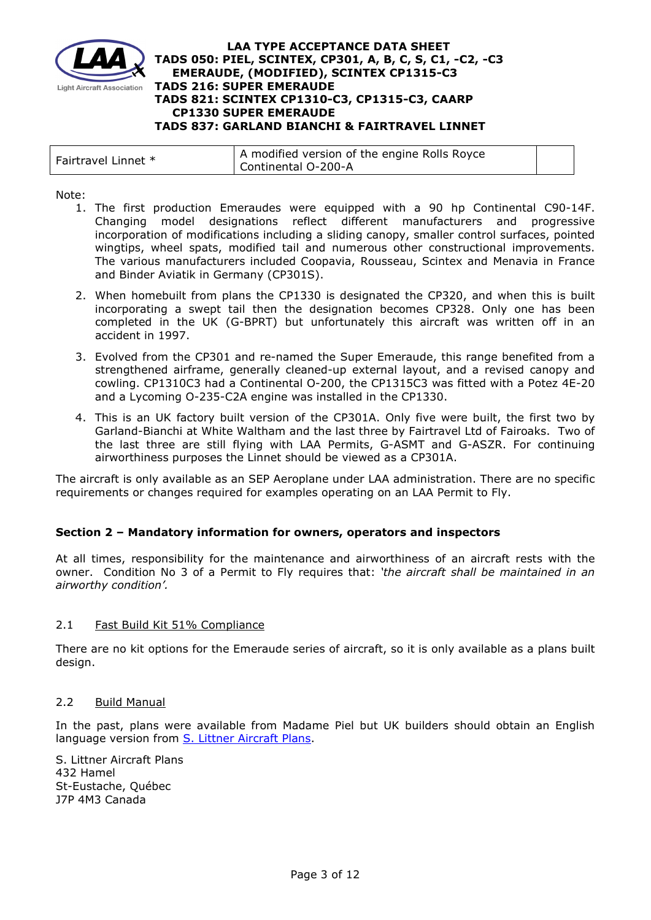

| Fairtravel Linnet * | A modified version of the engine Rolls Royce |  |
|---------------------|----------------------------------------------|--|
|                     | Continental O-200-A                          |  |

#### Note:

- 1. The first production Emeraudes were equipped with a 90 hp Continental C90-14F. Changing model designations reflect different manufacturers and progressive incorporation of modifications including a sliding canopy, smaller control surfaces, pointed wingtips, wheel spats, modified tail and numerous other constructional improvements. The various manufacturers included Coopavia, Rousseau, Scintex and Menavia in France and Binder Aviatik in Germany (CP301S).
- 2. When homebuilt from plans the CP1330 is designated the CP320, and when this is built incorporating a swept tail then the designation becomes CP328. Only one has been completed in the UK (G-BPRT) but unfortunately this aircraft was written off in an accident in 1997.
- 3. Evolved from the CP301 and re-named the Super Emeraude, this range benefited from a strengthened airframe, generally cleaned-up external layout, and a revised canopy and cowling. CP1310C3 had a Continental O-200, the CP1315C3 was fitted with a Potez 4E-20 and a Lycoming O-235-C2A engine was installed in the CP1330.
- 4. This is an UK factory built version of the CP301A. Only five were built, the first two by Garland-Bianchi at White Waltham and the last three by Fairtravel Ltd of Fairoaks. Two of the last three are still flying with LAA Permits, G-ASMT and G-ASZR. For continuing airworthiness purposes the Linnet should be viewed as a CP301A.

The aircraft is only available as an SEP Aeroplane under LAA administration. There are no specific requirements or changes required for examples operating on an LAA Permit to Fly.

## **Section 2 – Mandatory information for owners, operators and inspectors**

At all times, responsibility for the maintenance and airworthiness of an aircraft rests with the owner. Condition No 3 of a Permit to Fly requires that: *'the aircraft shall be maintained in an airworthy condition'.* 

## 2.1 Fast Build Kit 51% Compliance

There are no kit options for the Emeraude series of aircraft, so it is only available as a plans built design.

#### 2.2 Build Manual

In the past, plans were available from Madame Piel but UK builders should obtain an English language version from [S. Littner Aircraft Plans.](http://www.slittneraircraftplans.com/)

S. Littner Aircraft Plans 432 Hamel St-Eustache, Québec J7P 4M3 Canada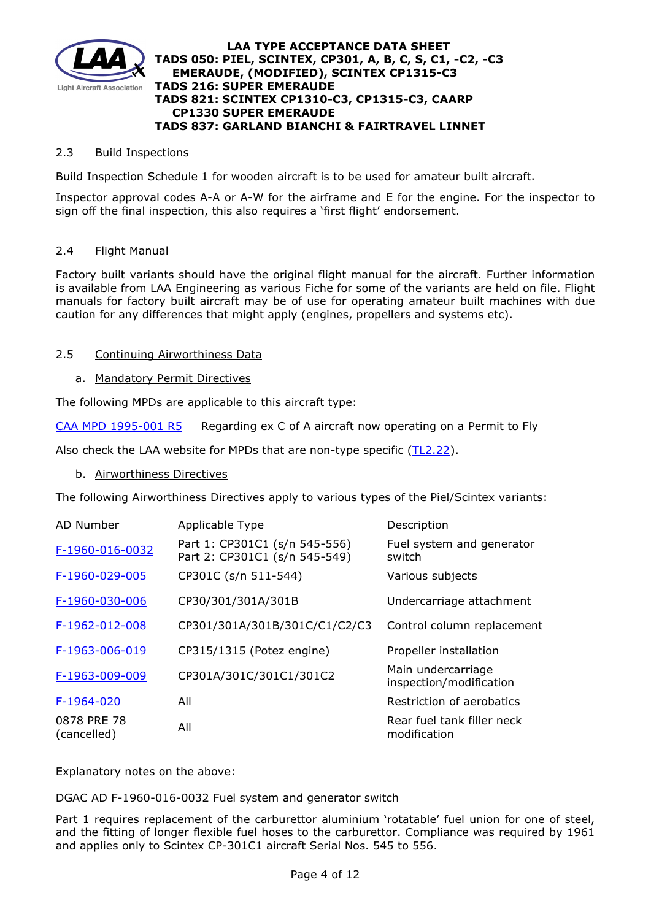

# 2.3 Build Inspections

Build Inspection Schedule 1 for wooden aircraft is to be used for amateur built aircraft.

Inspector approval codes A-A or A-W for the airframe and E for the engine. For the inspector to sign off the final inspection, this also requires a 'first flight' endorsement.

## 2.4 Flight Manual

Factory built variants should have the original flight manual for the aircraft. Further information is available from LAA Engineering as various Fiche for some of the variants are held on file. Flight manuals for factory built aircraft may be of use for operating amateur built machines with due caution for any differences that might apply (engines, propellers and systems etc).

## 2.5 Continuing Airworthiness Data

## a. Mandatory Permit Directives

The following MPDs are applicable to this aircraft type:

[CAA MPD 1995-001 R5](http://www.lightaircraftassociation.co.uk/engineering/TADs/050-216-821-837/MPD%201995-001%20R5.pdf) Regarding ex C of A aircraft now operating on a Permit to Fly

Also check the LAA website for MPDs that are non-type specific [\(TL2.22\)](http://www.lightaircraftassociation.co.uk/engineering/TechnicalLeaflets/Operating%20An%20Aircraft/TL%202.22%20non-type%20specific%20MPDs.pdf).

## b. Airworthiness Directives

The following Airworthiness Directives apply to various types of the Piel/Scintex variants:

| AD Number                  | Applicable Type                                                | Description                                   |
|----------------------------|----------------------------------------------------------------|-----------------------------------------------|
| F-1960-016-0032            | Part 1: CP301C1 (s/n 545-556)<br>Part 2: CP301C1 (s/n 545-549) | Fuel system and generator<br>switch           |
| F-1960-029-005             | CP301C (s/n 511-544)                                           | Various subjects                              |
| F-1960-030-006             | CP30/301/301A/301B                                             | Undercarriage attachment                      |
| F-1962-012-008             | CP301/301A/301B/301C/C1/C2/C3                                  | Control column replacement                    |
| F-1963-006-019             | CP315/1315 (Potez engine)                                      | Propeller installation                        |
| F-1963-009-009             | CP301A/301C/301C1/301C2                                        | Main undercarriage<br>inspection/modification |
| F-1964-020                 | All                                                            | Restriction of aerobatics                     |
| 0878 PRE 78<br>(cancelled) | All                                                            | Rear fuel tank filler neck<br>modification    |

Explanatory notes on the above:

DGAC AD F-1960-016-0032 Fuel system and generator switch

Part 1 requires replacement of the carburettor aluminium 'rotatable' fuel union for one of steel, and the fitting of longer flexible fuel hoses to the carburettor. Compliance was required by 1961 and applies only to Scintex CP-301C1 aircraft Serial Nos. 545 to 556.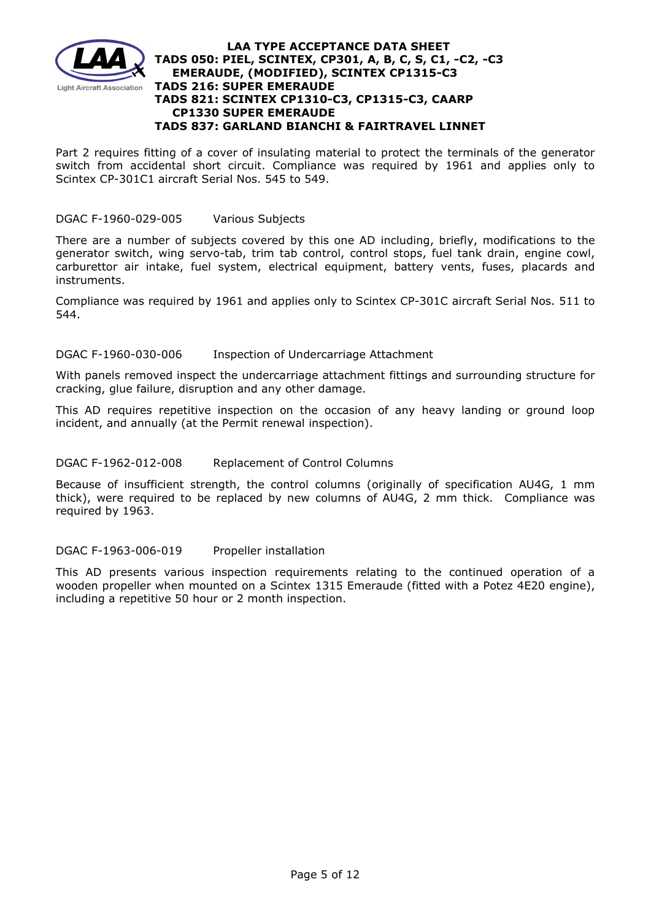

Part 2 requires fitting of a cover of insulating material to protect the terminals of the generator switch from accidental short circuit. Compliance was required by 1961 and applies only to Scintex CP-301C1 aircraft Serial Nos. 545 to 549.

## DGAC F-1960-029-005 Various Subjects

There are a number of subjects covered by this one AD including, briefly, modifications to the generator switch, wing servo-tab, trim tab control, control stops, fuel tank drain, engine cowl, carburettor air intake, fuel system, electrical equipment, battery vents, fuses, placards and instruments.

Compliance was required by 1961 and applies only to Scintex CP-301C aircraft Serial Nos. 511 to 544.

# DGAC F-1960-030-006 Inspection of Undercarriage Attachment

With panels removed inspect the undercarriage attachment fittings and surrounding structure for cracking, glue failure, disruption and any other damage.

This AD requires repetitive inspection on the occasion of any heavy landing or ground loop incident, and annually (at the Permit renewal inspection).

## DGAC F-1962-012-008 Replacement of Control Columns

Because of insufficient strength, the control columns (originally of specification AU4G, 1 mm thick), were required to be replaced by new columns of AU4G, 2 mm thick. Compliance was required by 1963.

## DGAC F-1963-006-019 Propeller installation

This AD presents various inspection requirements relating to the continued operation of a wooden propeller when mounted on a Scintex 1315 Emeraude (fitted with a Potez 4E20 engine), including a repetitive 50 hour or 2 month inspection.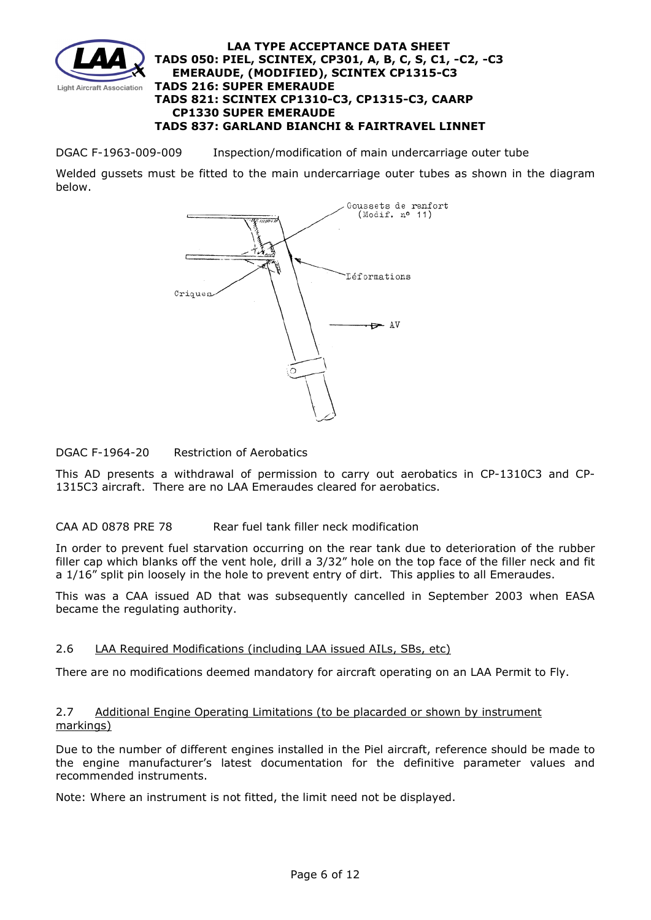

DGAC F-1963-009-009 Inspection/modification of main undercarriage outer tube

Welded gussets must be fitted to the main undercarriage outer tubes as shown in the diagram below.



DGAC F-1964-20 Restriction of Aerobatics

This AD presents a withdrawal of permission to carry out aerobatics in CP-1310C3 and CP-1315C3 aircraft. There are no LAA Emeraudes cleared for aerobatics.

## CAA AD 0878 PRE 78 Rear fuel tank filler neck modification

In order to prevent fuel starvation occurring on the rear tank due to deterioration of the rubber filler cap which blanks off the vent hole, drill a 3/32" hole on the top face of the filler neck and fit a 1/16" split pin loosely in the hole to prevent entry of dirt. This applies to all Emeraudes.

This was a CAA issued AD that was subsequently cancelled in September 2003 when EASA became the regulating authority.

## 2.6 LAA Required Modifications (including LAA issued AILs, SBs, etc)

There are no modifications deemed mandatory for aircraft operating on an LAA Permit to Fly.

# 2.7 Additional Engine Operating Limitations (to be placarded or shown by instrument markings)

Due to the number of different engines installed in the Piel aircraft, reference should be made to the engine manufacturer's latest documentation for the definitive parameter values and recommended instruments.

Note: Where an instrument is not fitted, the limit need not be displayed.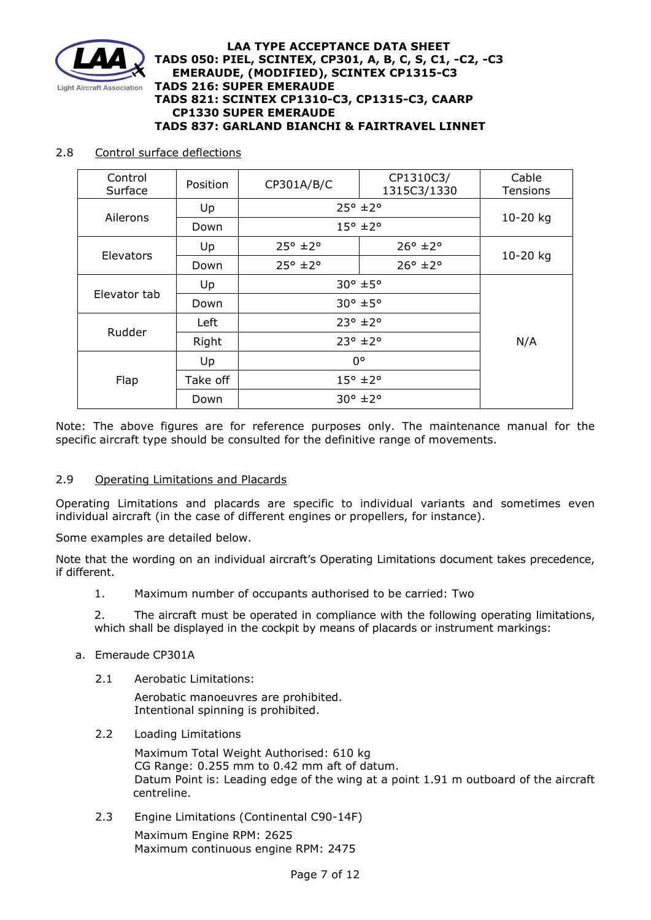

# 2.8 Control surface deflections

| Control<br>Surface | Position | CP301A/B/C                      | CP1310C3/<br>1315C3/1330 | Cable<br>Tensions |  |
|--------------------|----------|---------------------------------|--------------------------|-------------------|--|
|                    | Up       | $25^{\circ}$ ±2°                |                          |                   |  |
| Ailerons           | Down     | $15^{\circ}$ ±2°                |                          | 10-20 kg          |  |
| Elevators          | Up       | $25^{\circ}$ ±2°                | $26^{\circ}$ ±2°         | 10-20 kg          |  |
|                    | Down     | $25^{\circ}$ ±2°                | $26^{\circ}$ ±2°         |                   |  |
|                    | Up       |                                 | $30^\circ \pm 5^\circ$   |                   |  |
| Elevator tab       | Down     | 30° ±5°<br>$23^{\circ}$ ±2°     |                          |                   |  |
| Rudder             | Left     |                                 |                          |                   |  |
|                    | Right    |                                 | $23^{\circ}$ ±2°         | N/A               |  |
| Flap               | Up       | $0^{\circ}$<br>$15^{\circ}$ ±2° |                          |                   |  |
|                    | Take off |                                 |                          |                   |  |
|                    | Down     |                                 | 30° ±2°                  |                   |  |

Note: The above figures are for reference purposes only. The maintenance manual for the specific aircraft type should be consulted for the definitive range of movements.

# 2.9 Operating Limitations and Placards

Operating Limitations and placards are specific to individual variants and sometimes even individual aircraft (in the case of different engines or propellers, for instance).

Some examples are detailed below.

Note that the wording on an individual aircraft's Operating Limitations document takes precedence, if different.

1. Maximum number of occupants authorised to be carried: Two

2. The aircraft must be operated in compliance with the following operating limitations, which shall be displayed in the cockpit by means of placards or instrument markings:

- a. Emeraude CP301A
	- 2.1 Aerobatic Limitations:

Aerobatic manoeuvres are prohibited. Intentional spinning is prohibited.

2.2 Loading Limitations

Maximum Total Weight Authorised: 610 kg CG Range: 0.255 mm to 0.42 mm aft of datum. Datum Point is: Leading edge of the wing at a point 1.91 m outboard of the aircraft centreline.

2.3 Engine Limitations (Continental C90-14F)

Maximum Engine RPM: 2625 Maximum continuous engine RPM: 2475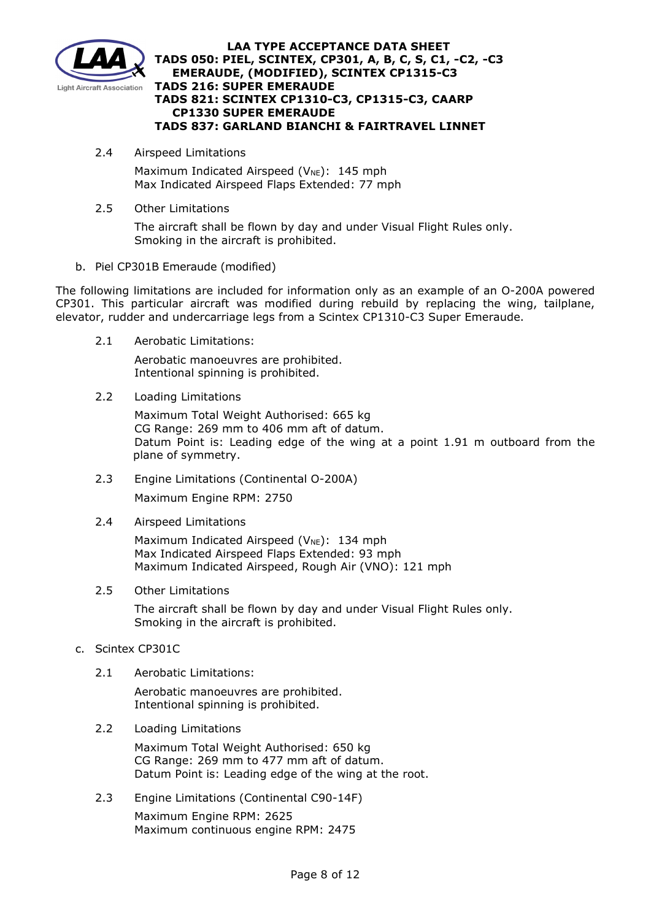

2.4 Airspeed Limitations

Maximum Indicated Airspeed ( $V_{NE}$ ): 145 mph Max Indicated Airspeed Flaps Extended: 77 mph

2.5 Other Limitations

The aircraft shall be flown by day and under Visual Flight Rules only. Smoking in the aircraft is prohibited.

b. Piel CP301B Emeraude (modified)

The following limitations are included for information only as an example of an O-200A powered CP301. This particular aircraft was modified during rebuild by replacing the wing, tailplane, elevator, rudder and undercarriage legs from a Scintex CP1310-C3 Super Emeraude.

2.1 Aerobatic Limitations:

Aerobatic manoeuvres are prohibited. Intentional spinning is prohibited.

2.2 Loading Limitations

Maximum Total Weight Authorised: 665 kg CG Range: 269 mm to 406 mm aft of datum. Datum Point is: Leading edge of the wing at a point 1.91 m outboard from the plane of symmetry.

- 2.3 Engine Limitations (Continental O-200A) Maximum Engine RPM: 2750
- 2.4 Airspeed Limitations

Maximum Indicated Airspeed ( $V_{NE}$ ): 134 mph Max Indicated Airspeed Flaps Extended: 93 mph Maximum Indicated Airspeed, Rough Air (VNO): 121 mph

2.5 Other Limitations

The aircraft shall be flown by day and under Visual Flight Rules only. Smoking in the aircraft is prohibited.

- c. Scintex CP301C
	- 2.1 Aerobatic Limitations:

Aerobatic manoeuvres are prohibited. Intentional spinning is prohibited.

2.2 Loading Limitations

Maximum Total Weight Authorised: 650 kg CG Range: 269 mm to 477 mm aft of datum. Datum Point is: Leading edge of the wing at the root.

2.3 Engine Limitations (Continental C90-14F) Maximum Engine RPM: 2625 Maximum continuous engine RPM: 2475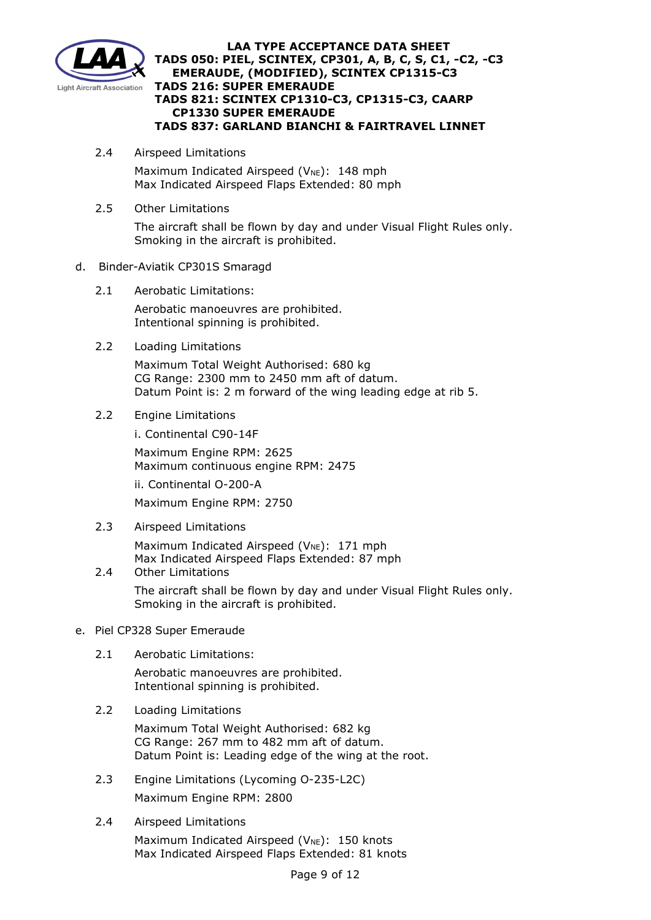

2.4 Airspeed Limitations

Maximum Indicated Airspeed ( $V_{NE}$ ): 148 mph Max Indicated Airspeed Flaps Extended: 80 mph

2.5 Other Limitations

The aircraft shall be flown by day and under Visual Flight Rules only. Smoking in the aircraft is prohibited.

# d. Binder-Aviatik CP301S Smaragd

2.1 Aerobatic Limitations:

Aerobatic manoeuvres are prohibited. Intentional spinning is prohibited.

2.2 Loading Limitations

Maximum Total Weight Authorised: 680 kg CG Range: 2300 mm to 2450 mm aft of datum. Datum Point is: 2 m forward of the wing leading edge at rib 5.

# 2.2 Engine Limitations

i. Continental C90-14F

Maximum Engine RPM: 2625 Maximum continuous engine RPM: 2475

ii. Continental O-200-A

Maximum Engine RPM: 2750

# 2.3 Airspeed Limitations

Maximum Indicated Airspeed ( $V_{NE}$ ): 171 mph Max Indicated Airspeed Flaps Extended: 87 mph

# 2.4 Other Limitations

The aircraft shall be flown by day and under Visual Flight Rules only. Smoking in the aircraft is prohibited.

## e. Piel CP328 Super Emeraude

2.1 Aerobatic Limitations:

Aerobatic manoeuvres are prohibited. Intentional spinning is prohibited.

2.2 Loading Limitations

Maximum Total Weight Authorised: 682 kg CG Range: 267 mm to 482 mm aft of datum. Datum Point is: Leading edge of the wing at the root.

- 2.3 Engine Limitations (Lycoming O-235-L2C) Maximum Engine RPM: 2800
- 2.4 Airspeed Limitations Maximum Indicated Airspeed ( $V_{NE}$ ): 150 knots Max Indicated Airspeed Flaps Extended: 81 knots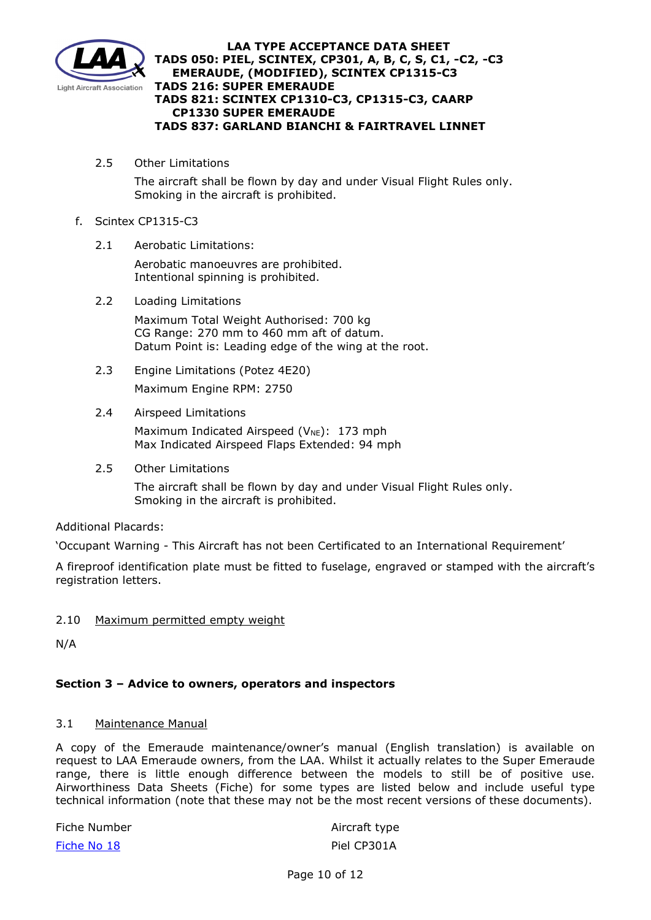

2.5 Other Limitations

The aircraft shall be flown by day and under Visual Flight Rules only. Smoking in the aircraft is prohibited.

# f. Scintex CP1315-C3

2.1 Aerobatic Limitations: Aerobatic manoeuvres are prohibited.

Intentional spinning is prohibited.

- 2.2 Loading Limitations Maximum Total Weight Authorised: 700 kg CG Range: 270 mm to 460 mm aft of datum. Datum Point is: Leading edge of the wing at the root.
- 2.3 Engine Limitations (Potez 4E20) Maximum Engine RPM: 2750

# 2.4 Airspeed Limitations Maximum Indicated Airspeed ( $V_{NE}$ ): 173 mph Max Indicated Airspeed Flaps Extended: 94 mph

2.5 Other Limitations

The aircraft shall be flown by day and under Visual Flight Rules only. Smoking in the aircraft is prohibited.

Additional Placards:

'Occupant Warning - This Aircraft has not been Certificated to an International Requirement'

A fireproof identification plate must be fitted to fuselage, engraved or stamped with the aircraft's registration letters.

2.10 Maximum permitted empty weight

N/A

# **Section 3 – Advice to owners, operators and inspectors**

# 3.1 Maintenance Manual

A copy of the Emeraude maintenance/owner's manual (English translation) is available on request to LAA Emeraude owners, from the LAA. Whilst it actually relates to the Super Emeraude range, there is little enough difference between the models to still be of positive use. Airworthiness Data Sheets (Fiche) for some types are listed below and include useful type technical information (note that these may not be the most recent versions of these documents).

| Fiche Number | Aircraft type |
|--------------|---------------|
| Fiche No 18  | Piel CP301A   |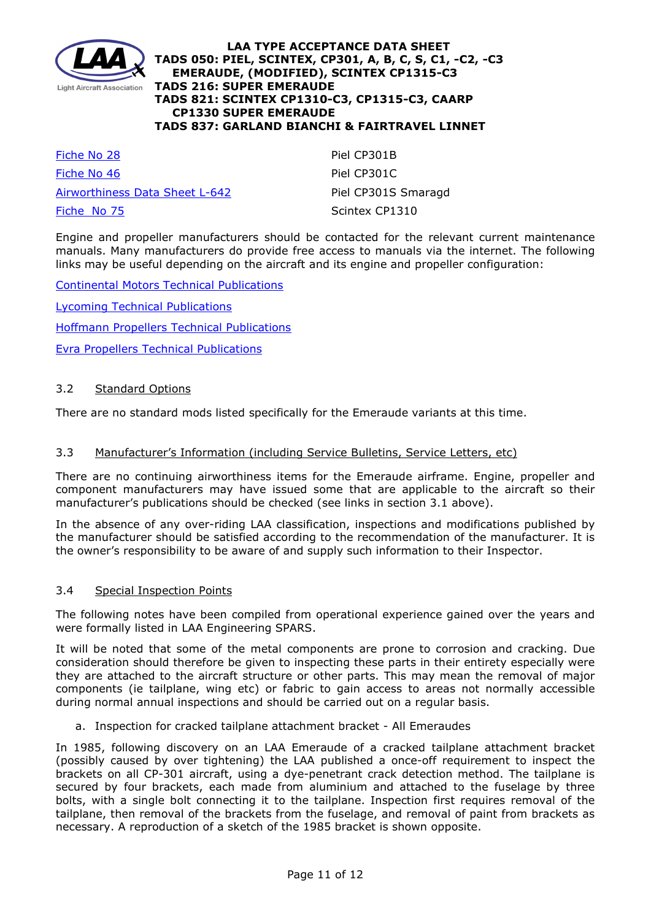

| Fiche No 28                    | Pie |
|--------------------------------|-----|
| Fiche No 46                    | Pie |
| Airworthiness Data Sheet L-642 | Pie |
| Fiche No 75                    | Sci |

 $H$  CP301B  $H$  CP301C [Airworthiness Data Sheet L-642](http://www.lightaircraftassociation.co.uk/engineering/TADs/050-216-821-837/Piel%20CP301S%20Smaragd%20L-642%20Data%20Sheet.pdf) Piel CP301S Smaragd intex CP1310

Engine and propeller manufacturers should be contacted for the relevant current maintenance manuals. Many manufacturers do provide free access to manuals via the internet. The following links may be useful depending on the aircraft and its engine and propeller configuration:

[Continental Motors Technical Publications](http://continentalmotors.aero/Support_Materials/Publications/)

[Lycoming Technical Publications](https://www.lycoming.com/contact/knowledge-base/publications)

[Hoffmann Propellers Technical Publications](http://www.hoffmann-prop.com/en/24/Service_Documents)

[Evra Propellers Technical Publications](http://www.helices-evra.com/)

# 3.2 Standard Options

There are no standard mods listed specifically for the Emeraude variants at this time.

# 3.3 Manufacturer's Information (including Service Bulletins, Service Letters, etc)

There are no continuing airworthiness items for the Emeraude airframe. Engine, propeller and component manufacturers may have issued some that are applicable to the aircraft so their manufacturer's publications should be checked (see links in section 3.1 above).

In the absence of any over-riding LAA classification, inspections and modifications published by the manufacturer should be satisfied according to the recommendation of the manufacturer. It is the owner's responsibility to be aware of and supply such information to their Inspector.

## 3.4 Special Inspection Points

The following notes have been compiled from operational experience gained over the years and were formally listed in LAA Engineering SPARS.

It will be noted that some of the metal components are prone to corrosion and cracking. Due consideration should therefore be given to inspecting these parts in their entirety especially were they are attached to the aircraft structure or other parts. This may mean the removal of major components (ie tailplane, wing etc) or fabric to gain access to areas not normally accessible during normal annual inspections and should be carried out on a regular basis.

a. Inspection for cracked tailplane attachment bracket - All Emeraudes

In 1985, following discovery on an LAA Emeraude of a cracked tailplane attachment bracket (possibly caused by over tightening) the LAA published a once-off requirement to inspect the brackets on all CP-301 aircraft, using a dye-penetrant crack detection method. The tailplane is secured by four brackets, each made from aluminium and attached to the fuselage by three bolts, with a single bolt connecting it to the tailplane. Inspection first requires removal of the tailplane, then removal of the brackets from the fuselage, and removal of paint from brackets as necessary. A reproduction of a sketch of the 1985 bracket is shown opposite.